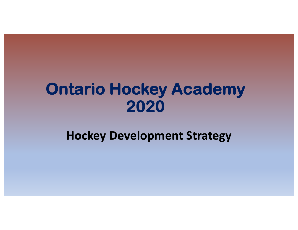# **Ontario Hockey Academy 2020**

**Hockey Development Strategy**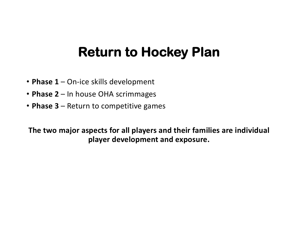### **Return to Hockey Plan**

- **Phase 1**  On-ice skills development
- **Phase 2**  In house OHA scrimmages
- **Phase 3**  Return to competitive games

**The two major aspects for all players and their families are individual player development and exposure.**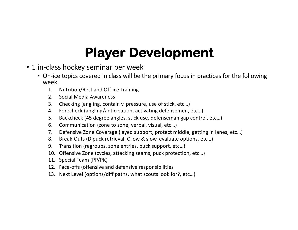## **Player Development**

- 1 in-class hockey seminar per week
	- On-ice topics covered in class will be the primary focus in practices for the following week.
		- 1. Nutrition/Rest and Off-ice Training
		- 2. Social Media Awareness
		- 3. Checking (angling, contain v. pressure, use of stick, etc…)
		- 4. Forecheck (angling/anticipation, activating defensemen, etc…)
		- 5. Backcheck (45 degree angles, stick use, defenseman gap control, etc…)
		- 6. Communication (zone to zone, verbal, visual, etc…)
		- 7. Defensive Zone Coverage (layed support, protect middle, getting in lanes, etc…)
		- 8. Break-Outs (D puck retrieval, C low & slow, evaluate options, etc…)
		- 9. Transition (regroups, zone entries, puck support, etc…)
		- 10. Offensive Zone (cycles, attacking seams, puck protection, etc…)
		- 11. Special Team (PP/PK)
		- 12. Face-offs (offensive and defensive responsibilities
		- 13. Next Level (options/diff paths, what scouts look for?, etc…)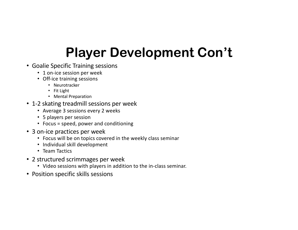# **Player Development Con't**

- Goalie Specific Training sessions
	- 1 on-ice session per week
	- Off-ice training sessions
		- Neurotracker
		- Fit Light
		- Mental Preparation
- 1-2 skating treadmill sessions per week
	- Average 3 sessions every 2 weeks
	- 5 players per session
	- Focus = speed, power and conditioning
- 3 on-ice practices per week
	- Focus will be on topics covered in the weekly class seminar
	- Individual skill development
	- Team Tactics
- 2 structured scrimmages per week
	- Video sessions with players in addition to the in-class seminar.
- Position specific skills sessions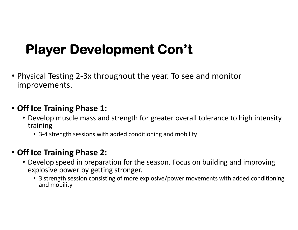## **Player Development Con't**

• Physical Testing 2-3x throughout the year. To see and monitor improvements.

#### • **Off Ice Training Phase 1:**

- Develop muscle mass and strength for greater overall tolerance to high intensity training
	- 3-4 strength sessions with added conditioning and mobility

#### • **Off Ice Training Phase 2:**

- Develop speed in preparation for the season. Focus on building and improving explosive power by getting stronger.
	- 3 strength session consisting of more explosive/power movements with added conditioning and mobility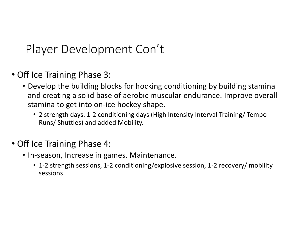### Player Development Con't

- Off Ice Training Phase 3:
	- Develop the building blocks for hocking conditioning by building stamina and creating a solid base of aerobic muscular endurance. Improve overall stamina to get into on-ice hockey shape.
		- 2 strength days. 1-2 conditioning days (High Intensity Interval Training/ Tempo Runs/ Shuttles) and added Mobility.

#### • Off Ice Training Phase 4:

- In-season, Increase in games. Maintenance.
	- 1-2 strength sessions, 1-2 conditioning/explosive session, 1-2 recovery/ mobility sessions